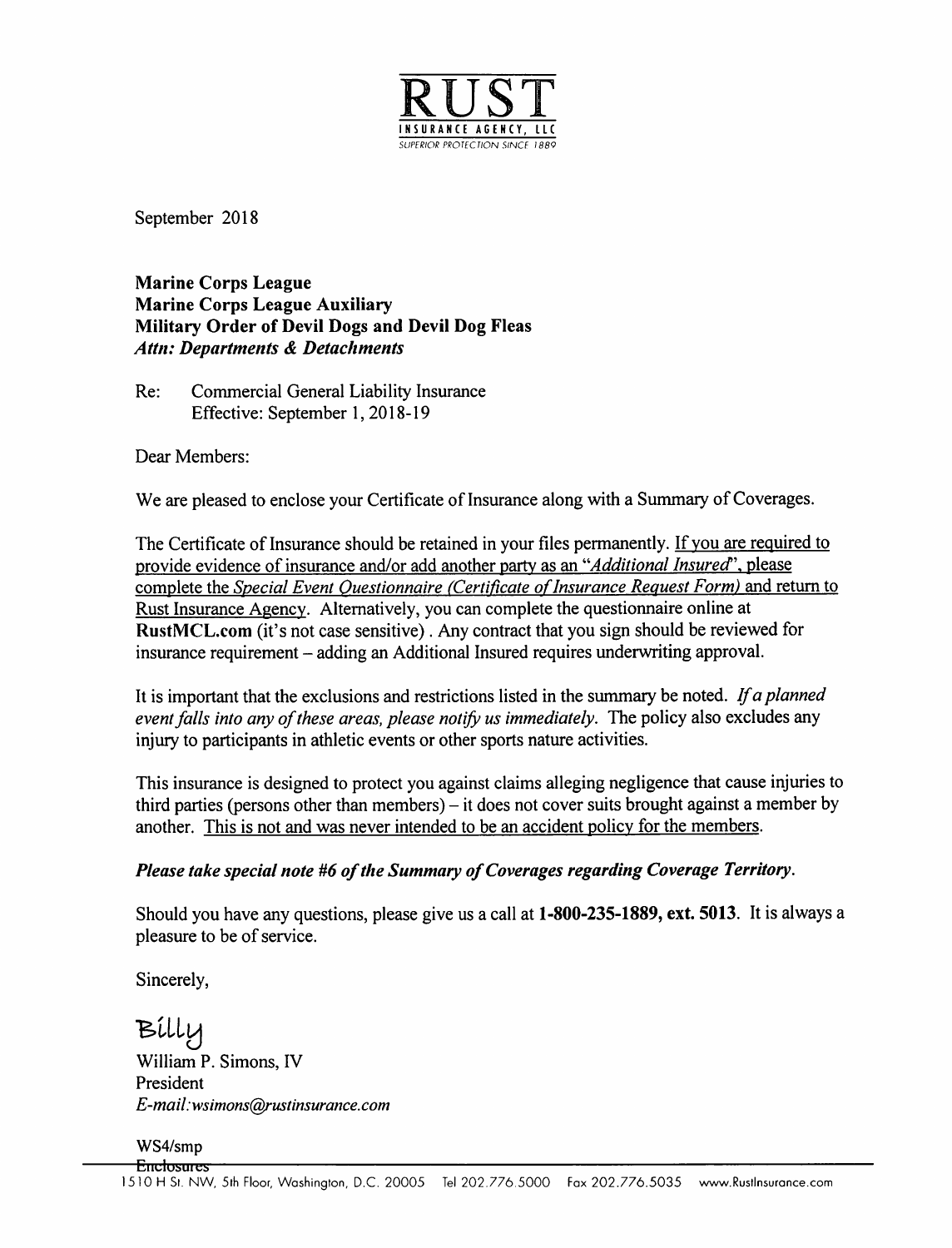

September 2018

Marine Corps League Marine Corps League Auxiliary Military Order of Devil Dogs and Devil Dog Fleas Attn: Departments & Detachments

Re: Commercial General Liability Insurance Effective: September 1, 2018-19

Dear Members:

We are pleased to enclose your Certificate of Insurance along with a Summary of Coverages.

The Certificate of Insurance should be retained in your files permanently. If you are required to provide evidence of insurance and/or add another party as an "Additional Insured", please complete the Special Event Ouestionnaire (Certificate of Insurance Request Form) and return to Rust Insurance Agency. Alternatively, you can complete the questionnaire online at RustMCL.com (it's not case sensitive) . Any contract that you sign should be reviewed for insurance requirement – adding an Additional Insured requires underwriting approval.

It is important that the exclusions and restrictions listed in the summary be noted. If a planned event falls into any of these areas, please notify us immediately. The policy also excludes any injury to participants in athletic events or other sports nature activities.

This insurance is designed to protect you against claims alleging negligence that cause injuries to third parties (persons other than members) – it does not cover suits brought against a member by another. This is not and was never intended to be an accident policy for the members.

# Please take special note #6 of the Summary of Coverages regarding Coverage Territory.

Should you have any questions, please give us a call at 1-800-235-1889, ext. 5013. It is always a pleasure to be of service.

Sincerely,

Billy William P. Simons, IV President E-mail:wsimons@rustmsurance.com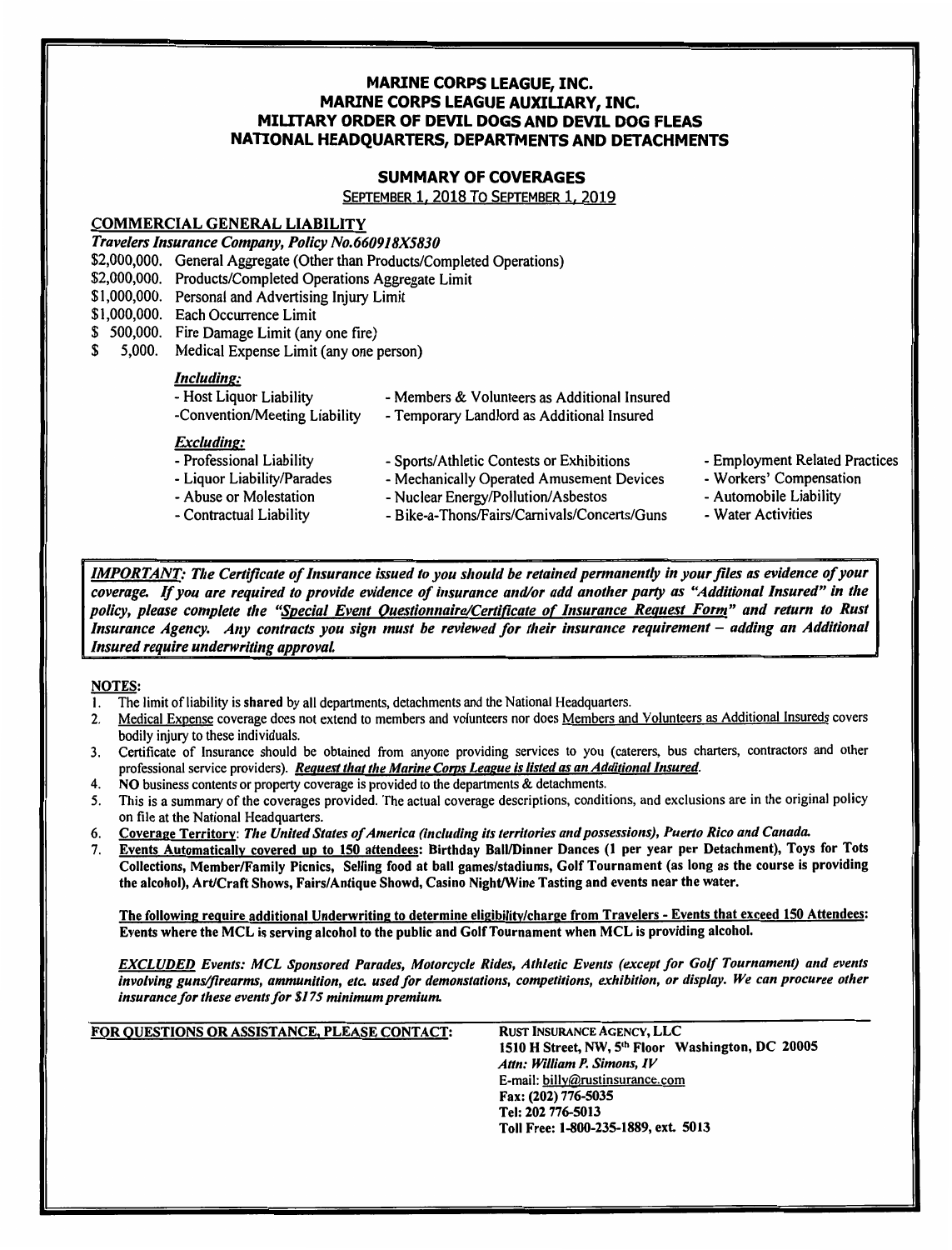### MARINE CORPS LEAGUE, INC. MARINE CORPS LEAGUE AUXILIARY, INC. MILITARY ORDER OF DEVIL DOGS AND DEVIL DOG FLEAS NATIONAL HEADQUARTERS, DEPARTMENTS AND DETACHMENTS

## SUMMARY OF COVERAGES

SEPTEMBER 1. <sup>2018</sup> To SEPTEMBER l. <sup>2019</sup>

#### COMMERCIAL GENERAL LIABILITY

TravelersInsurance Company, Policy No.660918X5830

- \$2,000,000. General Aggregate (Other than Products/Completed Operations)
- \$2,000,000. Products/Completed Operations Aggregate Limit
- \$1,000,000. Personal and Advertising Injury Limit
- \$1,000,000. Each Occurrence Limit
- \$ 500,000. Fire Damage Limit (any one fire)
- \$ 5,000. Medical Expense Limit (any one person)

# Including:

| - Host Liquor Liability       | - Members & Volunteers as Additional Insured |  |
|-------------------------------|----------------------------------------------|--|
| -Convention/Meeting Liability | - Temporary Landlord as Additional Insured   |  |
| Excluding:                    |                                              |  |
| - Professional Liability      | - Sports/Athletic Contests or Exhibitions    |  |
| - Liquor Liability/Parades    | - Mechanically Operated Amusement Devices    |  |
| - Abuse or Molestation        | - Nuclear Energy/Pollution/Asbestos          |  |
|                               |                                              |  |

- Contractual Liability
- Nuclear Energy/Pollution/Asbestos
- Bike-a-Thons/Fairs/Camivals/Concerts/Guns
- **Employment Related Practices**
- Workers' Compensation
- Automobile Liability
- Water Activities

**IMPORTANT:** The Certificate of Insurance issued to you should be retained permanently in your files as evidence of your coverage. If you are required to provide evidence of insurance and/or add another party as "Additional Insured" in the policy, please complete the "<u>Special Event Questionnaire/Certificate of Insurance Request Form</u>" and return to Rust Insurance Agency. Any contracts you sign must be reviewed for their insurance requirement – adding an Additional<br>Insured require underwriting approval. - Professional Liability - Sports/Athletic Contests or Exhibitions<br>
- Liquor Liability/Parades<br>
- Mechanically Operated Amusement Devices<br>
- Abuse or Molestation - Nuclear Energy/Pollution/Asbestos<br>
- Contractual Liability

# NOTES:

- 1. The limit of liability is shared by all departments, detachments and the National Headquarters.
- 2. Medical Expense coverage does not extend to members and volunteers nor does Members and Volunteers as Additional Insureds covers bodily injury to these individuals.
- 3. Certificate of Insurance should be obtained from anyone providing services to you (caterers, bus charters, contractors and other professional service providers). Request that the Marine Corps League is listed as an Additional Insured.
- 4. NO business contents or property coverage is provided to the departments & detachments.
- 5. This is a summary of the coverages provided. The actual coverage descriptions, conditions, and exclusions are in the original policy on file at the National Headquarters.
- 6. Coverage Territory: The United States of America (including its territories and possessions), Puerto Rico and Canada.<br>7. Events Automatically covered up to 150 attendees: Birthday Ball/Dinner Dances (1 per year per Deta
- Events Automatically covered up to 150 attendees: Birthday Ball/Dinner Dances (1 per year per Detachment), Toys for Tots Collections, Member/Family Picnics, Selling food at ball games/stadiums, Golf Tournament (as long as the course is providing the alcohol), Art/Craft Shows, Fairs/Antique Showd, Casino Night/Wine Tasting and events near the water.

The following require additional Underwriting to determine eligibilitv/charge from Travelers- Events that exceed 150 Attendees: Events where the MCL isserving alcohol to the public and Golf Tournament when MCL is providing alcohol.

EXCLUDED Events: MCL Sponsored Parades, Motorcycle Rides, Athletic Events (except for Golf Tournament) and events involving guns/firearms, ammunition, etc. used for demonstations, competitions, exhibition, or display. We can procuree other insurance for these events for \$175 minimum premium.

| FOR QUESTIONS OR ASSISTANCE, PLEASE CONTACT: | <b>RUST INSURANCE AGENCY, LLC</b><br>1510 H Street, NW, 5th Floor Washington, DC 20005<br>Attn: William P. Simons, IV<br>E-mail: billy@rustinsurance.com<br>Fax: (202) 776-5035<br>Tel: 202 776-5013 |
|----------------------------------------------|------------------------------------------------------------------------------------------------------------------------------------------------------------------------------------------------------|
|                                              | Toll Free: 1-800-235-1889, ext. 5013                                                                                                                                                                 |
|                                              |                                                                                                                                                                                                      |